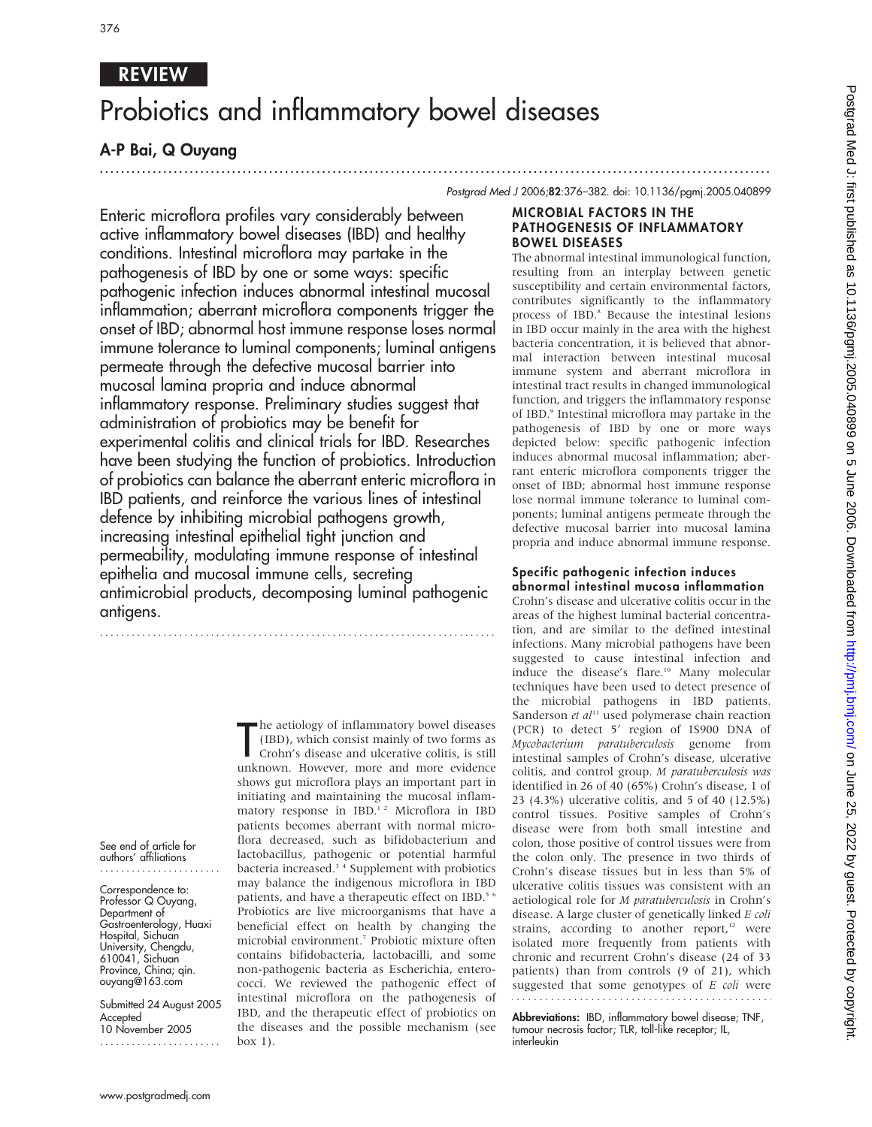# REVIEW

# Probiotics and inflammatory bowel diseases

# A-P Bai, Q Ouyang

.............................................................................................................................. . Postgrad Med J 2006;82:376–382. doi: 10.1136/pgmj.2005.040899

Enteric microflora profiles vary considerably between active inflammatory bowel diseases (IBD) and healthy MICROBIAL FACTORS IN THE PATHOGENESIS OF INFLAMMATORY BOWEL DISEASES The abnormal intestinal immunological function, resulting from an interplay between genetic susceptibility and certain environmental factors,

contributes significantly to the inflammatory process of IBD.<sup>8</sup> Because the intestinal lesions in IBD occur mainly in the area with the highest bacteria concentration, it is believed that abnormal interaction between intestinal mucosal immune system and aberrant microflora in intestinal tract results in changed immunological function, and triggers the inflammatory response of IBD.<sup>9</sup> Intestinal microflora may partake in the pathogenesis of IBD by one or more ways depicted below: specific pathogenic infection induces abnormal mucosal inflammation; aberrant enteric microflora components trigger the onset of IBD; abnormal host immune response lose normal immune tolerance to luminal components; luminal antigens permeate through the defective mucosal barrier into mucosal lamina propria and induce abnormal immune response.

# Specific pathogenic infection induces abnormal intestinal mucosa inflammation

Crohn's disease and ulcerative colitis occur in the areas of the highest luminal bacterial concentration, and are similar to the defined intestinal infections. Many microbial pathogens have been suggested to cause intestinal infection and induce the disease's flare.<sup>10</sup> Many molecular techniques have been used to detect presence of the microbial pathogens in IBD patients. Sanderson et  $al<sup>11</sup>$  used polymerase chain reaction (PCR) to detect 5' region of IS900 DNA of Mycobacterium paratuberculosis genome from intestinal samples of Crohn's disease, ulcerative colitis, and control group. M paratuberculosis was identified in 26 of 40 (65%) Crohn's disease, 1 of 23 (4.3%) ulcerative colitis, and 5 of 40 (12.5%) control tissues. Positive samples of Crohn's disease were from both small intestine and colon, those positive of control tissues were from the colon only. The presence in two thirds of Crohn's disease tissues but in less than 5% of ulcerative colitis tissues was consistent with an aetiological role for M paratuberculosis in Crohn's disease. A large cluster of genetically linked E coli strains, according to another report, $12$  were isolated more frequently from patients with chronic and recurrent Crohn's disease (24 of 33 patients) than from controls (9 of 21), which suggested that some genotypes of  $E$  coli were 

Abbreviations: IBD, inflammatory bowel disease; TNF, tumour necrosis factor; TLR, toll-like receptor; IL, interleukin

conditions. Intestinal microflora may partake in the pathogenesis of IBD by one or some ways: specific pathogenic infection induces abnormal intestinal mucosal inflammation; aberrant microflora components trigger the onset of IBD; abnormal host immune response loses normal immune tolerance to luminal components; luminal antigens permeate through the defective mucosal barrier into mucosal lamina propria and induce abnormal inflammatory response. Preliminary studies suggest that administration of probiotics may be benefit for experimental colitis and clinical trials for IBD. Researches have been studying the function of probiotics. Introduction of probiotics can balance the aberrant enteric microflora in IBD patients, and reinforce the various lines of intestinal defence by inhibiting microbial pathogens growth, increasing intestinal epithelial tight junction and permeability, modulating immune response of intestinal epithelia and mucosal immune cells, secreting antimicrobial products, decomposing luminal pathogenic antigens.

...........................................................................

See end of article for authors' affiliations

Correspondence to: Professor Q Ouyang, Department of Gastroenterology, Huaxi Hospital, Sichuan University, Chengdu, 610041, Sichuan Province, China; qin. ouyang@163.com

Submitted 24 August 2005 **Accepted** 10 November 2005 .......................

The aetiology of inflammatory bowel diseases<br>
(IBD), which consist mainly of two forms as<br>
Crohn's disease and ulcerative colitis, is still<br>
unknown. However, more and more evidence he aetiology of inflammatory bowel diseases (IBD), which consist mainly of two forms as Crohn's disease and ulcerative colitis, is still shows gut microflora plays an important part in initiating and maintaining the mucosal inflammatory response in IBD.<sup>1</sup><sup>2</sup> Microflora in IBD patients becomes aberrant with normal microflora decreased, such as bifidobacterium and lactobacillus, pathogenic or potential harmful bacteria increased.3 4 Supplement with probiotics may balance the indigenous microflora in IBD patients, and have a therapeutic effect on IBD.<sup>5 6</sup> Probiotics are live microorganisms that have a beneficial effect on health by changing the microbial environment.7 Probiotic mixture often contains bifidobacteria, lactobacilli, and some non-pathogenic bacteria as Escherichia, enterococci. We reviewed the pathogenic effect of intestinal microflora on the pathogenesis of IBD, and the therapeutic effect of probiotics on the diseases and the possible mechanism (see box 1).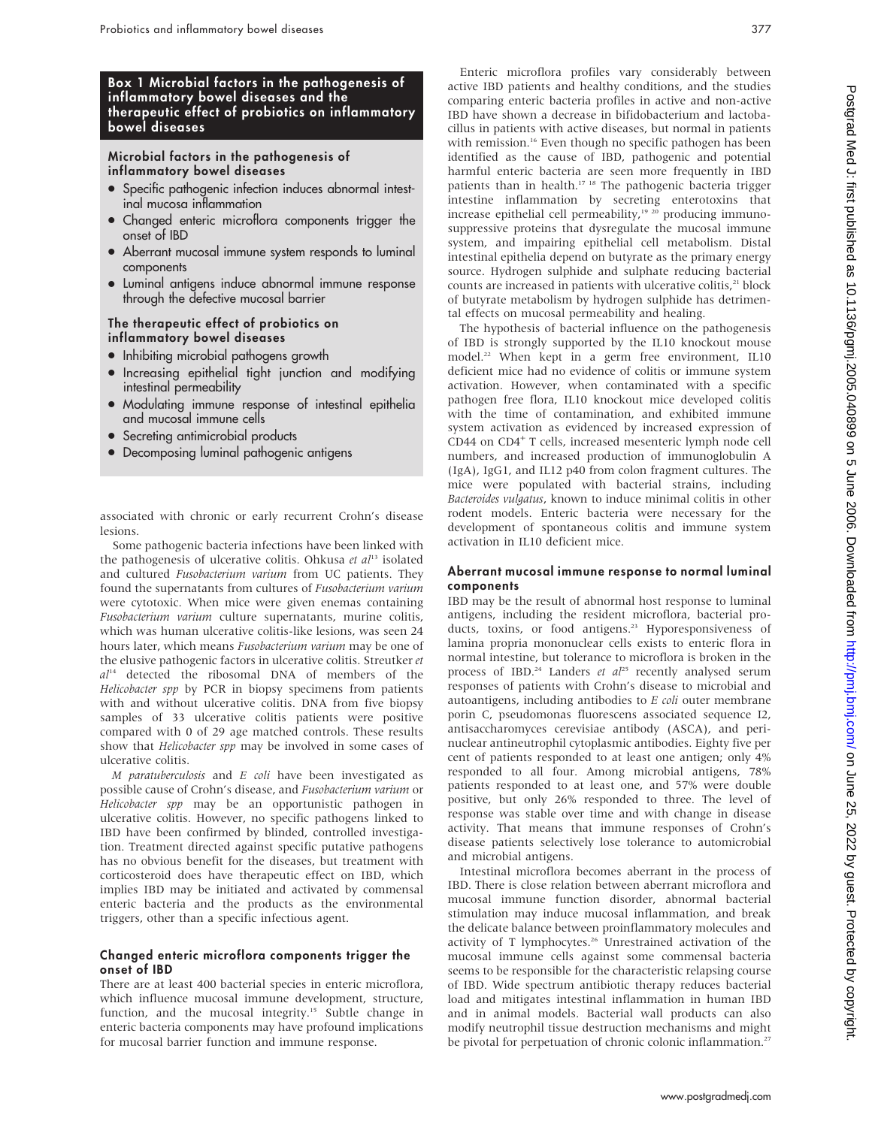# Box 1 Microbial factors in the pathogenesis of inflammatory bowel diseases and the therapeutic effect of probiotics on inflammatory bowel diseases

## Microbial factors in the pathogenesis of inflammatory bowel diseases

- Specific pathogenic infection induces abnormal intestinal mucosa inflammation
- Changed enteric microflora components trigger the onset of IBD
- Aberrant mucosal immune system responds to luminal components
- Luminal antigens induce abnormal immune response through the defective mucosal barrier

#### The therapeutic effect of probiotics on inflammatory bowel diseases

- Inhibiting microbial pathogens growth
- $\bullet$  Increasing epithelial tight junction and modifying intestinal permeability
- Modulating immune response of intestinal epithelia and mucosal immune cells
- Secreting antimicrobial products
- Decomposing luminal pathogenic antigens

associated with chronic or early recurrent Crohn's disease lesions.

Some pathogenic bacteria infections have been linked with the pathogenesis of ulcerative colitis. Ohkusa et  $al<sup>13</sup>$  isolated and cultured Fusobacterium varium from UC patients. They found the supernatants from cultures of Fusobacterium varium were cytotoxic. When mice were given enemas containing Fusobacterium varium culture supernatants, murine colitis, which was human ulcerative colitis-like lesions, was seen 24 hours later, which means Fusobacterium varium may be one of the elusive pathogenic factors in ulcerative colitis. Streutker et  $al<sup>14</sup>$  detected the ribosomal DNA of members of the Helicobacter spp by PCR in biopsy specimens from patients with and without ulcerative colitis. DNA from five biopsy samples of 33 ulcerative colitis patients were positive compared with 0 of 29 age matched controls. These results show that *Helicobacter spp* may be involved in some cases of ulcerative colitis.

 $M$  paratuberculosis and  $E$  coli have been investigated as possible cause of Crohn's disease, and Fusobacterium varium or Helicobacter spp may be an opportunistic pathogen in ulcerative colitis. However, no specific pathogens linked to IBD have been confirmed by blinded, controlled investigation. Treatment directed against specific putative pathogens has no obvious benefit for the diseases, but treatment with corticosteroid does have therapeutic effect on IBD, which implies IBD may be initiated and activated by commensal enteric bacteria and the products as the environmental triggers, other than a specific infectious agent.

#### Changed enteric microflora components trigger the onset of IBD

There are at least 400 bacterial species in enteric microflora, which influence mucosal immune development, structure, function, and the mucosal integrity.<sup>15</sup> Subtle change in enteric bacteria components may have profound implications for mucosal barrier function and immune response.

Enteric microflora profiles vary considerably between active IBD patients and healthy conditions, and the studies comparing enteric bacteria profiles in active and non-active IBD have shown a decrease in bifidobacterium and lactobacillus in patients with active diseases, but normal in patients with remission.<sup>16</sup> Even though no specific pathogen has been identified as the cause of IBD, pathogenic and potential harmful enteric bacteria are seen more frequently in IBD patients than in health.<sup>17 18</sup> The pathogenic bacteria trigger intestine inflammation by secreting enterotoxins that increase epithelial cell permeability, $1920$  producing immuno-

suppressive proteins that dysregulate the mucosal immune system, and impairing epithelial cell metabolism. Distal intestinal epithelia depend on butyrate as the primary energy source. Hydrogen sulphide and sulphate reducing bacterial counts are increased in patients with ulcerative colitis,<sup>21</sup> block of butyrate metabolism by hydrogen sulphide has detrimental effects on mucosal permeability and healing. The hypothesis of bacterial influence on the pathogenesis of IBD is strongly supported by the IL10 knockout mouse

model.<sup>22</sup> When kept in a germ free environment, IL10 deficient mice had no evidence of colitis or immune system activation. However, when contaminated with a specific pathogen free flora, IL10 knockout mice developed colitis with the time of contamination, and exhibited immune system activation as evidenced by increased expression of CD44 on CD4<sup>+</sup> T cells, increased mesenteric lymph node cell numbers, and increased production of immunoglobulin A (IgA), IgG1, and IL12 p40 from colon fragment cultures. The mice were populated with bacterial strains, including Bacteroides vulgatus, known to induce minimal colitis in other rodent models. Enteric bacteria were necessary for the development of spontaneous colitis and immune system activation in IL10 deficient mice.

#### Aberrant mucosal immune response to normal luminal components

IBD may be the result of abnormal host response to luminal antigens, including the resident microflora, bacterial products, toxins, or food antigens.<sup>23</sup> Hyporesponsiveness of lamina propria mononuclear cells exists to enteric flora in normal intestine, but tolerance to microflora is broken in the process of IBD.<sup>24</sup> Landers et  $al^{25}$  recently analysed serum responses of patients with Crohn's disease to microbial and autoantigens, including antibodies to  $E$  coli outer membrane porin C, pseudomonas fluorescens associated sequence I2, antisaccharomyces cerevisiae antibody (ASCA), and perinuclear antineutrophil cytoplasmic antibodies. Eighty five per cent of patients responded to at least one antigen; only 4% responded to all four. Among microbial antigens, 78% patients responded to at least one, and 57% were double positive, but only 26% responded to three. The level of response was stable over time and with change in disease activity. That means that immune responses of Crohn's disease patients selectively lose tolerance to automicrobial and microbial antigens.

Intestinal microflora becomes aberrant in the process of IBD. There is close relation between aberrant microflora and mucosal immune function disorder, abnormal bacterial stimulation may induce mucosal inflammation, and break the delicate balance between proinflammatory molecules and activity of T lymphocytes.<sup>26</sup> Unrestrained activation of the mucosal immune cells against some commensal bacteria seems to be responsible for the characteristic relapsing course of IBD. Wide spectrum antibiotic therapy reduces bacterial load and mitigates intestinal inflammation in human IBD and in animal models. Bacterial wall products can also modify neutrophil tissue destruction mechanisms and might be pivotal for perpetuation of chronic colonic inflammation.<sup>27</sup>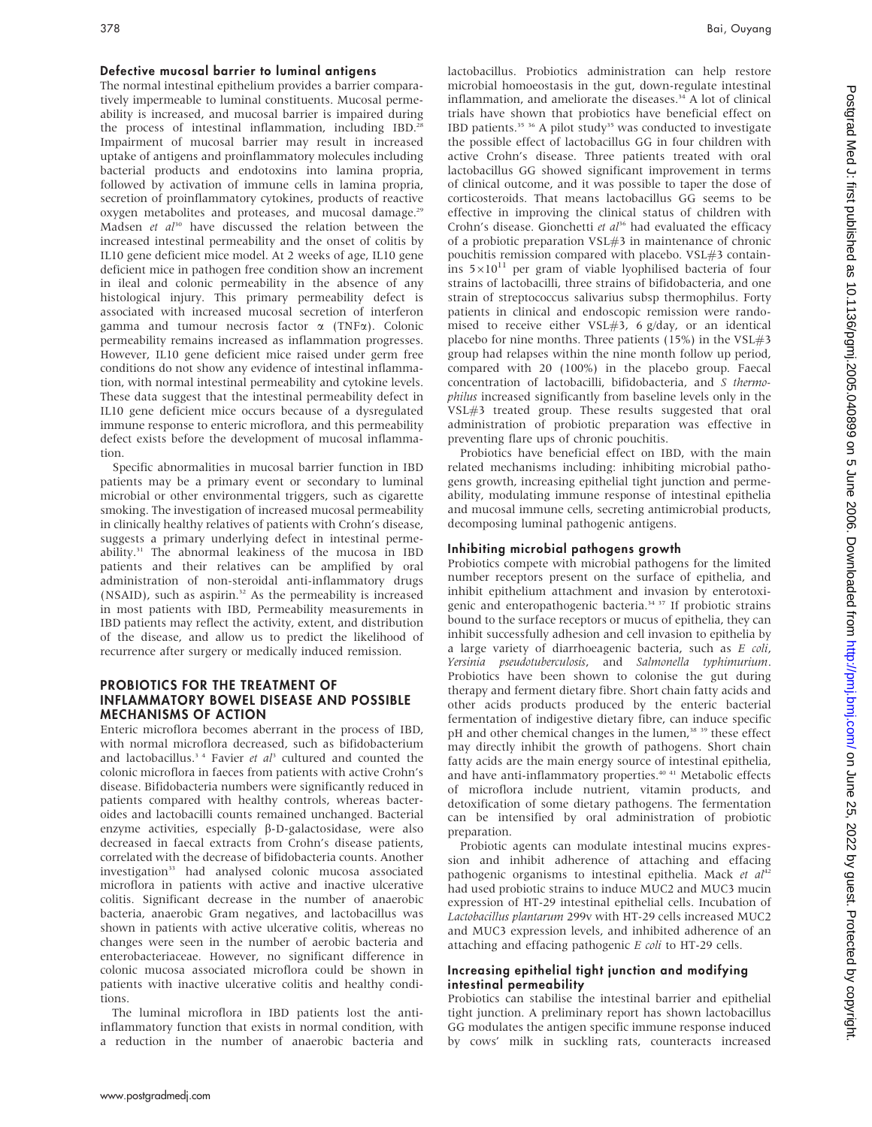#### Defective mucosal barrier to luminal antigens

The normal intestinal epithelium provides a barrier comparatively impermeable to luminal constituents. Mucosal permeability is increased, and mucosal barrier is impaired during the process of intestinal inflammation, including IBD.<sup>28</sup> Impairment of mucosal barrier may result in increased uptake of antigens and proinflammatory molecules including bacterial products and endotoxins into lamina propria, followed by activation of immune cells in lamina propria, secretion of proinflammatory cytokines, products of reactive oxygen metabolites and proteases, and mucosal damage.<sup>29</sup> Madsen et  $al^{30}$  have discussed the relation between the increased intestinal permeability and the onset of colitis by IL10 gene deficient mice model. At 2 weeks of age, IL10 gene deficient mice in pathogen free condition show an increment in ileal and colonic permeability in the absence of any histological injury. This primary permeability defect is associated with increased mucosal secretion of interferon gamma and tumour necrosis factor  $\alpha$  (TNF $\alpha$ ). Colonic permeability remains increased as inflammation progresses. However, IL10 gene deficient mice raised under germ free conditions do not show any evidence of intestinal inflammation, with normal intestinal permeability and cytokine levels. These data suggest that the intestinal permeability defect in IL10 gene deficient mice occurs because of a dysregulated immune response to enteric microflora, and this permeability defect exists before the development of mucosal inflammation.

Specific abnormalities in mucosal barrier function in IBD patients may be a primary event or secondary to luminal microbial or other environmental triggers, such as cigarette smoking. The investigation of increased mucosal permeability in clinically healthy relatives of patients with Crohn's disease, suggests a primary underlying defect in intestinal permeability.31 The abnormal leakiness of the mucosa in IBD patients and their relatives can be amplified by oral administration of non-steroidal anti-inflammatory drugs (NSAID), such as aspirin.<sup>32</sup> As the permeability is increased in most patients with IBD, Permeability measurements in IBD patients may reflect the activity, extent, and distribution of the disease, and allow us to predict the likelihood of recurrence after surgery or medically induced remission.

#### PROBIOTICS FOR THE TREATMENT OF INFLAMMATORY BOWEL DISEASE AND POSSIBLE MECHANISMS OF ACTION

Enteric microflora becomes aberrant in the process of IBD, with normal microflora decreased, such as bifidobacterium and lactobacillus.<sup>34</sup> Favier et  $al<sup>3</sup>$  cultured and counted the colonic microflora in faeces from patients with active Crohn's disease. Bifidobacteria numbers were significantly reduced in patients compared with healthy controls, whereas bacteroides and lactobacilli counts remained unchanged. Bacterial enzyme activities, especially  $\beta$ -D-galactosidase, were also decreased in faecal extracts from Crohn's disease patients, correlated with the decrease of bifidobacteria counts. Another investigation<sup>33</sup> had analysed colonic mucosa associated microflora in patients with active and inactive ulcerative colitis. Significant decrease in the number of anaerobic bacteria, anaerobic Gram negatives, and lactobacillus was shown in patients with active ulcerative colitis, whereas no changes were seen in the number of aerobic bacteria and enterobacteriaceae. However, no significant difference in colonic mucosa associated microflora could be shown in patients with inactive ulcerative colitis and healthy conditions.

The luminal microflora in IBD patients lost the antiinflammatory function that exists in normal condition, with a reduction in the number of anaerobic bacteria and lactobacillus. Probiotics administration can help restore microbial homoeostasis in the gut, down-regulate intestinal inflammation, and ameliorate the diseases.<sup>34</sup> A lot of clinical trials have shown that probiotics have beneficial effect on IBD patients.<sup>35 36</sup> A pilot study<sup>35</sup> was conducted to investigate the possible effect of lactobacillus GG in four children with active Crohn's disease. Three patients treated with oral lactobacillus GG showed significant improvement in terms of clinical outcome, and it was possible to taper the dose of corticosteroids. That means lactobacillus GG seems to be effective in improving the clinical status of children with Crohn's disease. Gionchetti et  $al^{36}$  had evaluated the efficacy of a probiotic preparation VSL#3 in maintenance of chronic pouchitis remission compared with placebo. VSL#3 containins  $5\times10^{11}$  per gram of viable lyophilised bacteria of four strains of lactobacilli, three strains of bifidobacteria, and one strain of streptococcus salivarius subsp thermophilus. Forty patients in clinical and endoscopic remission were randomised to receive either VSL#3, 6 g/day, or an identical placebo for nine months. Three patients (15%) in the  $VSL#3$ group had relapses within the nine month follow up period, compared with 20 (100%) in the placebo group. Faecal concentration of lactobacilli, bifidobacteria, and S thermophilus increased significantly from baseline levels only in the VSL#3 treated group. These results suggested that oral administration of probiotic preparation was effective in preventing flare ups of chronic pouchitis.

Probiotics have beneficial effect on IBD, with the main related mechanisms including: inhibiting microbial pathogens growth, increasing epithelial tight junction and permeability, modulating immune response of intestinal epithelia and mucosal immune cells, secreting antimicrobial products, decomposing luminal pathogenic antigens.

# Inhibiting microbial pathogens growth

Probiotics compete with microbial pathogens for the limited number receptors present on the surface of epithelia, and inhibit epithelium attachment and invasion by enterotoxigenic and enteropathogenic bacteria.<sup>34 37</sup> If probiotic strains bound to the surface receptors or mucus of epithelia, they can inhibit successfully adhesion and cell invasion to epithelia by a large variety of diarrhoeagenic bacteria, such as E coli, Yersinia pseudotuberculosis, and Salmonella typhimurium. Probiotics have been shown to colonise the gut during therapy and ferment dietary fibre. Short chain fatty acids and other acids products produced by the enteric bacterial fermentation of indigestive dietary fibre, can induce specific pH and other chemical changes in the lumen,<sup>38</sup> <sup>39</sup> these effect may directly inhibit the growth of pathogens. Short chain fatty acids are the main energy source of intestinal epithelia, and have anti-inflammatory properties.<sup>40 41</sup> Metabolic effects of microflora include nutrient, vitamin products, and detoxification of some dietary pathogens. The fermentation can be intensified by oral administration of probiotic preparation.

Probiotic agents can modulate intestinal mucins expression and inhibit adherence of attaching and effacing pathogenic organisms to intestinal epithelia. Mack et al<sup>42</sup> had used probiotic strains to induce MUC2 and MUC3 mucin expression of HT-29 intestinal epithelial cells. Incubation of Lactobacillus plantarum 299v with HT-29 cells increased MUC2 and MUC3 expression levels, and inhibited adherence of an attaching and effacing pathogenic E coli to HT-29 cells.

# Increasing epithelial tight junction and modifying intestinal permeability

Probiotics can stabilise the intestinal barrier and epithelial tight junction. A preliminary report has shown lactobacillus GG modulates the antigen specific immune response induced by cows' milk in suckling rats, counteracts increased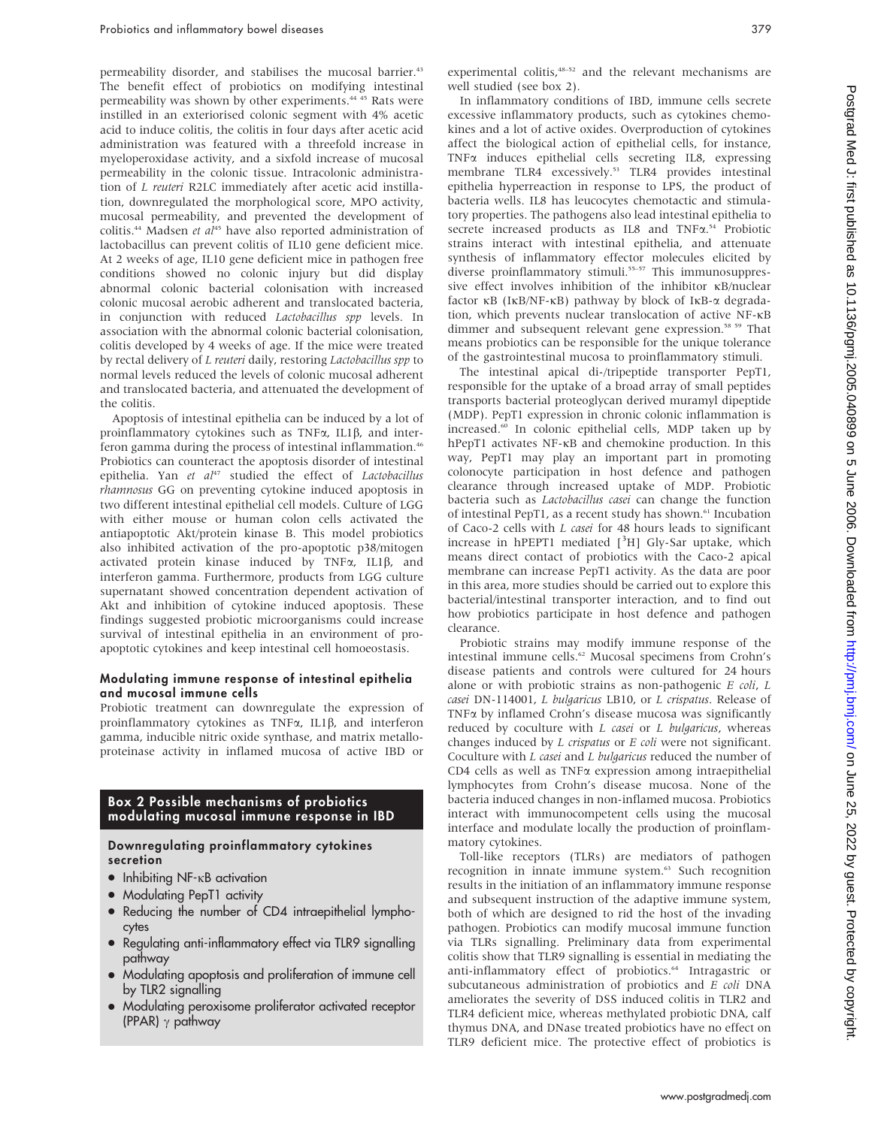permeability disorder, and stabilises the mucosal barrier.<sup>43</sup> The benefit effect of probiotics on modifying intestinal permeability was shown by other experiments.44 45 Rats were instilled in an exteriorised colonic segment with 4% acetic acid to induce colitis, the colitis in four days after acetic acid administration was featured with a threefold increase in myeloperoxidase activity, and a sixfold increase of mucosal permeability in the colonic tissue. Intracolonic administration of L reuteri R2LC immediately after acetic acid instillation, downregulated the morphological score, MPO activity, mucosal permeability, and prevented the development of colitis.<sup>44</sup> Madsen et  $al^{45}$  have also reported administration of lactobacillus can prevent colitis of IL10 gene deficient mice. At 2 weeks of age, IL10 gene deficient mice in pathogen free conditions showed no colonic injury but did display abnormal colonic bacterial colonisation with increased colonic mucosal aerobic adherent and translocated bacteria, in conjunction with reduced Lactobacillus spp levels. In association with the abnormal colonic bacterial colonisation, colitis developed by 4 weeks of age. If the mice were treated by rectal delivery of L reuteri daily, restoring Lactobacillus spp to normal levels reduced the levels of colonic mucosal adherent and translocated bacteria, and attenuated the development of the colitis.

Apoptosis of intestinal epithelia can be induced by a lot of proinflammatory cytokines such as  $TNF\alpha$ , IL1 $\beta$ , and interferon gamma during the process of intestinal inflammation.<sup>46</sup> Probiotics can counteract the apoptosis disorder of intestinal epithelia. Yan et al<sup>47</sup> studied the effect of Lactobacillus rhamnosus GG on preventing cytokine induced apoptosis in two different intestinal epithelial cell models. Culture of LGG with either mouse or human colon cells activated the antiapoptotic Akt/protein kinase B. This model probiotics also inhibited activation of the pro-apoptotic p38/mitogen activated protein kinase induced by TNF $\alpha$ , IL1 $\beta$ , and interferon gamma. Furthermore, products from LGG culture supernatant showed concentration dependent activation of Akt and inhibition of cytokine induced apoptosis. These findings suggested probiotic microorganisms could increase survival of intestinal epithelia in an environment of proapoptotic cytokines and keep intestinal cell homoeostasis.

#### Modulating immune response of intestinal epithelia and mucosal immune cells

Probiotic treatment can downregulate the expression of proinflammatory cytokines as TNF $\alpha$ , IL1 $\beta$ , and interferon gamma, inducible nitric oxide synthase, and matrix metalloproteinase activity in inflamed mucosa of active IBD or

## Box 2 Possible mechanisms of probiotics modulating mucosal immune response in IBD

#### Downregulating proinflammatory cytokines secretion

- $\bullet$  Inhibiting NF- $\kappa$ B activation
- Modulating PepT1 activity
- Reducing the number of CD4 intraepithelial lymphocytes
- Regulating anti-inflammatory effect via TLR9 signalling pathway
- Modulating apoptosis and proliferation of immune cell by TLR2 signalling
- Modulating peroxisome proliferator activated receptor (PPAR)  $\gamma$  pathway

experimental colitis,<sup>48–52</sup> and the relevant mechanisms are well studied (see box 2).

In inflammatory conditions of IBD, immune cells secrete excessive inflammatory products, such as cytokines chemokines and a lot of active oxides. Overproduction of cytokines affect the biological action of epithelial cells, for instance, TNFa induces epithelial cells secreting IL8, expressing membrane TLR4 excessively.<sup>53</sup> TLR4 provides intestinal epithelia hyperreaction in response to LPS, the product of bacteria wells. IL8 has leucocytes chemotactic and stimulatory properties. The pathogens also lead intestinal epithelia to secrete increased products as IL8 and TNF $\alpha$ .<sup>54</sup> Probiotic strains interact with intestinal epithelia, and attenuate synthesis of inflammatory effector molecules elicited by diverse proinflammatory stimuli.<sup>55-57</sup> This immunosuppressive effect involves inhibition of the inhibitor  $\kappa$ B/nuclear factor  $\kappa$ B (I $\kappa$ B/NF- $\kappa$ B) pathway by block of I $\kappa$ B- $\alpha$  degradation, which prevents nuclear translocation of active NF-kB dimmer and subsequent relevant gene expression.<sup>58 59</sup> That means probiotics can be responsible for the unique tolerance of the gastrointestinal mucosa to proinflammatory stimuli.

The intestinal apical di-/tripeptide transporter PepT1, responsible for the uptake of a broad array of small peptides transports bacterial proteoglycan derived muramyl dipeptide (MDP). PepT1 expression in chronic colonic inflammation is increased.60 In colonic epithelial cells, MDP taken up by hPepT1 activates NF- $\kappa$ B and chemokine production. In this way, PepT1 may play an important part in promoting colonocyte participation in host defence and pathogen clearance through increased uptake of MDP. Probiotic bacteria such as Lactobacillus casei can change the function of intestinal PepT1, as a recent study has shown.<sup>61</sup> Incubation of Caco-2 cells with L casei for 48 hours leads to significant increase in hPEPT1 mediated [<sup>3</sup>H] Gly-Sar uptake, which means direct contact of probiotics with the Caco-2 apical membrane can increase PepT1 activity. As the data are poor in this area, more studies should be carried out to explore this bacterial/intestinal transporter interaction, and to find out how probiotics participate in host defence and pathogen clearance.

Probiotic strains may modify immune response of the intestinal immune cells.<sup>62</sup> Mucosal specimens from Crohn's disease patients and controls were cultured for 24 hours alone or with probiotic strains as non-pathogenic  $E$  coli,  $L$ casei DN-114001, L bulgaricus LB10, or L crispatus. Release of TNFa by inflamed Crohn's disease mucosa was significantly reduced by coculture with  $L$  casei or  $L$  bulgaricus, whereas changes induced by *L crispatus* or *E coli* were not significant. Coculture with L casei and L bulgaricus reduced the number of CD4 cells as well as TNFa expression among intraepithelial lymphocytes from Crohn's disease mucosa. None of the bacteria induced changes in non-inflamed mucosa. Probiotics interact with immunocompetent cells using the mucosal interface and modulate locally the production of proinflammatory cytokines.

Toll-like receptors (TLRs) are mediators of pathogen recognition in innate immune system.<sup>63</sup> Such recognition results in the initiation of an inflammatory immune response and subsequent instruction of the adaptive immune system, both of which are designed to rid the host of the invading pathogen. Probiotics can modify mucosal immune function via TLRs signalling. Preliminary data from experimental colitis show that TLR9 signalling is essential in mediating the anti-inflammatory effect of probiotics.<sup>64</sup> Intragastric or subcutaneous administration of probiotics and E coli DNA ameliorates the severity of DSS induced colitis in TLR2 and TLR4 deficient mice, whereas methylated probiotic DNA, calf thymus DNA, and DNase treated probiotics have no effect on TLR9 deficient mice. The protective effect of probiotics is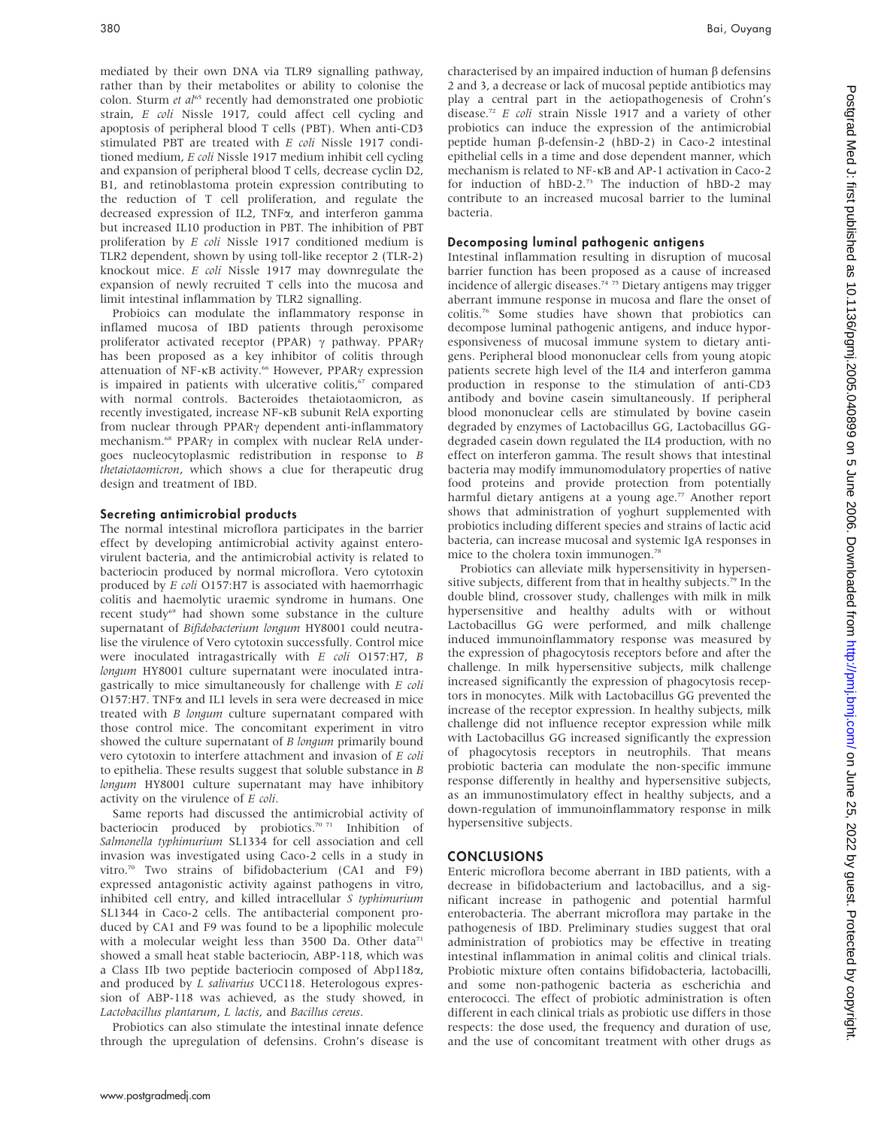mediated by their own DNA via TLR9 signalling pathway, rather than by their metabolites or ability to colonise the colon. Sturm  $et$   $al^{65}$  recently had demonstrated one probiotic strain, E coli Nissle 1917, could affect cell cycling and apoptosis of peripheral blood T cells (PBT). When anti-CD3 stimulated PBT are treated with E coli Nissle 1917 conditioned medium, E coli Nissle 1917 medium inhibit cell cycling and expansion of peripheral blood T cells, decrease cyclin D2, B1, and retinoblastoma protein expression contributing to the reduction of T cell proliferation, and regulate the decreased expression of IL2, TNFa, and interferon gamma but increased IL10 production in PBT. The inhibition of PBT proliferation by E coli Nissle 1917 conditioned medium is TLR2 dependent, shown by using toll-like receptor 2 (TLR-2) knockout mice. E coli Nissle 1917 may downregulate the expansion of newly recruited T cells into the mucosa and limit intestinal inflammation by TLR2 signalling.

Probioics can modulate the inflammatory response in inflamed mucosa of IBD patients through peroxisome proliferator activated receptor (PPAR)  $\gamma$  pathway. PPAR $\gamma$ has been proposed as a key inhibitor of colitis through attenuation of NF-KB activity.<sup>66</sup> However, PPAR<sub>Y</sub> expression is impaired in patients with ulcerative colitis,<sup>67</sup> compared with normal controls. Bacteroides thetaiotaomicron, as recently investigated, increase NF-kB subunit RelA exporting from nuclear through PPAR $\gamma$  dependent anti-inflammatory mechanism.<sup>68</sup> PPAR<sub>Y</sub> in complex with nuclear RelA undergoes nucleocytoplasmic redistribution in response to B thetaiotaomicron, which shows a clue for therapeutic drug design and treatment of IBD.

#### Secreting antimicrobial products

The normal intestinal microflora participates in the barrier effect by developing antimicrobial activity against enterovirulent bacteria, and the antimicrobial activity is related to bacteriocin produced by normal microflora. Vero cytotoxin produced by E coli O157:H7 is associated with haemorrhagic colitis and haemolytic uraemic syndrome in humans. One recent study<sup>69</sup> had shown some substance in the culture supernatant of Bifidobacterium longum HY8001 could neutralise the virulence of Vero cytotoxin successfully. Control mice were inoculated intragastrically with E coli O157:H7, B longum HY8001 culture supernatant were inoculated intragastrically to mice simultaneously for challenge with E coli O157:H7. TNFa and IL1 levels in sera were decreased in mice treated with B longum culture supernatant compared with those control mice. The concomitant experiment in vitro showed the culture supernatant of B longum primarily bound vero cytotoxin to interfere attachment and invasion of E coli to epithelia. These results suggest that soluble substance in B longum HY8001 culture supernatant may have inhibitory activity on the virulence of E coli.

Same reports had discussed the antimicrobial activity of bacteriocin produced by probiotics.<sup>70 71</sup> Inhibition of Salmonella typhimurium SL1334 for cell association and cell invasion was investigated using Caco-2 cells in a study in vitro.70 Two strains of bifidobacterium (CA1 and F9) expressed antagonistic activity against pathogens in vitro, inhibited cell entry, and killed intracellular S typhimurium SL1344 in Caco-2 cells. The antibacterial component produced by CA1 and F9 was found to be a lipophilic molecule with a molecular weight less than 3500 Da. Other data<sup>71</sup> showed a small heat stable bacteriocin, ABP-118, which was a Class IIb two peptide bacteriocin composed of Abp118a, and produced by *L salivarius* UCC118. Heterologous expression of ABP-118 was achieved, as the study showed, in Lactobacillus plantarum, L lactis, and Bacillus cereus.

Probiotics can also stimulate the intestinal innate defence through the upregulation of defensins. Crohn's disease is characterised by an impaired induction of human  $\beta$  defensins 2 and 3, a decrease or lack of mucosal peptide antibiotics may play a central part in the aetiopathogenesis of Crohn's disease.72 E coli strain Nissle 1917 and a variety of other probiotics can induce the expression of the antimicrobial peptide human  $\beta$ -defensin-2 (hBD-2) in Caco-2 intestinal epithelial cells in a time and dose dependent manner, which mechanism is related to NF-kB and AP-1 activation in Caco-2 for induction of hBD-2.<sup>73</sup> The induction of hBD-2 may contribute to an increased mucosal barrier to the luminal bacteria.

# Decomposing luminal pathogenic antigens

Intestinal inflammation resulting in disruption of mucosal barrier function has been proposed as a cause of increased incidence of allergic diseases.<sup>74 75</sup> Dietary antigens may trigger aberrant immune response in mucosa and flare the onset of colitis.76 Some studies have shown that probiotics can decompose luminal pathogenic antigens, and induce hyporesponsiveness of mucosal immune system to dietary antigens. Peripheral blood mononuclear cells from young atopic patients secrete high level of the IL4 and interferon gamma production in response to the stimulation of anti-CD3 antibody and bovine casein simultaneously. If peripheral blood mononuclear cells are stimulated by bovine casein degraded by enzymes of Lactobacillus GG, Lactobacillus GGdegraded casein down regulated the IL4 production, with no effect on interferon gamma. The result shows that intestinal bacteria may modify immunomodulatory properties of native food proteins and provide protection from potentially harmful dietary antigens at a young age.<sup>77</sup> Another report shows that administration of yoghurt supplemented with probiotics including different species and strains of lactic acid bacteria, can increase mucosal and systemic IgA responses in mice to the cholera toxin immunogen.<sup>78</sup>

Probiotics can alleviate milk hypersensitivity in hypersensitive subjects, different from that in healthy subjects.<sup>79</sup> In the double blind, crossover study, challenges with milk in milk hypersensitive and healthy adults with or without Lactobacillus GG were performed, and milk challenge induced immunoinflammatory response was measured by the expression of phagocytosis receptors before and after the challenge. In milk hypersensitive subjects, milk challenge increased significantly the expression of phagocytosis receptors in monocytes. Milk with Lactobacillus GG prevented the increase of the receptor expression. In healthy subjects, milk challenge did not influence receptor expression while milk with Lactobacillus GG increased significantly the expression of phagocytosis receptors in neutrophils. That means probiotic bacteria can modulate the non-specific immune response differently in healthy and hypersensitive subjects, as an immunostimulatory effect in healthy subjects, and a down-regulation of immunoinflammatory response in milk hypersensitive subjects.

# **CONCLUSIONS**

Enteric microflora become aberrant in IBD patients, with a decrease in bifidobacterium and lactobacillus, and a significant increase in pathogenic and potential harmful enterobacteria. The aberrant microflora may partake in the pathogenesis of IBD. Preliminary studies suggest that oral administration of probiotics may be effective in treating intestinal inflammation in animal colitis and clinical trials. Probiotic mixture often contains bifidobacteria, lactobacilli, and some non-pathogenic bacteria as escherichia and enterococci. The effect of probiotic administration is often different in each clinical trials as probiotic use differs in those respects: the dose used, the frequency and duration of use, and the use of concomitant treatment with other drugs as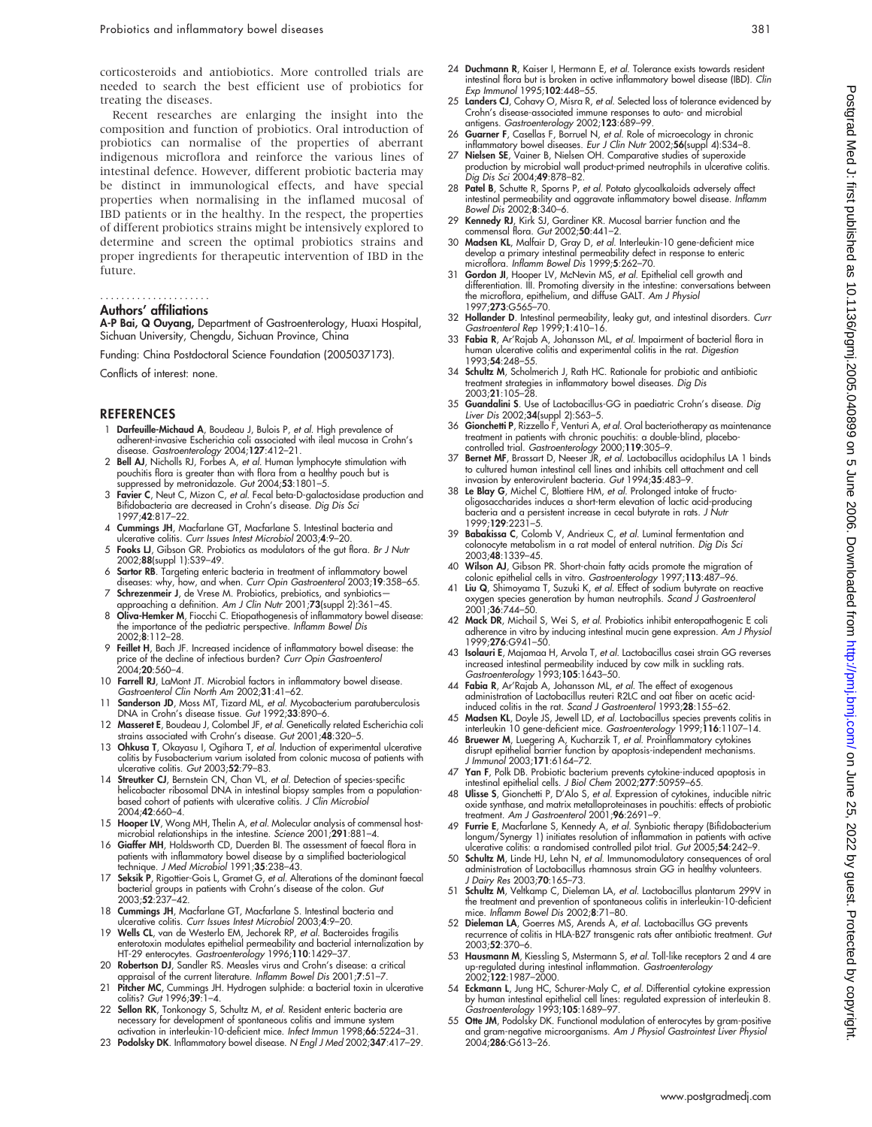corticosteroids and antiobiotics. More controlled trials are needed to search the best efficient use of probiotics for treating the diseases.

Recent researches are enlarging the insight into the composition and function of probiotics. Oral introduction of probiotics can normalise of the properties of aberrant indigenous microflora and reinforce the various lines of intestinal defence. However, different probiotic bacteria may be distinct in immunological effects, and have special properties when normalising in the inflamed mucosal of IBD patients or in the healthy. In the respect, the properties of different probiotics strains might be intensively explored to determine and screen the optimal probiotics strains and proper ingredients for therapeutic intervention of IBD in the future.

# .....................

# Authors' affiliations

A-P Bai, Q Ouyang, Department of Gastroenterology, Huaxi Hospital, Sichuan University, Chengdu, Sichuan Province, China

Funding: China Postdoctoral Science Foundation (2005037173).

Conflicts of interest: none.

#### **REFERENCES**

- 1 **Darfeuille-Michaud A**, Boudeau J, Bulois P, *et al*. High prevalence of<br>| adherent-invasive Escherichia coli associated with ileal mucosa in Crohn's
- disease. *Gastroenterology* 2004;**127**:412–21.<br>2 Bell AJ, Nicholls RJ, Forbes A, *et al.* Human lymphocyte stimulation with pouchitis flora is greater than with flora from a healthy pouch but is suppressed by metronidazole. Gut 2004;53:1801–5.
- 3 Favier C, Neut C, Mizon C, et al. Fecal beta-D-galactosidase production and Bilidobacteria are decreased in Crohn's disease. *Dig Dis Sci*<br>1997;**42**:817–22.
- 4 Cummings JH, Macfarlane GT, Macfarlane S. Intestinal bacteria and ulcerative colitis. Curr Issues Intest Microbiol 2003;4:9–20.
- 5 Fooks LJ, Gibson GR. Probiotics as modulators of the gut flora. Br J Nutr 2002;88(suppl 1):S39–49.
- 6 Sartor RB. Targeting enteric bacteria in treatment of inflammatory bowel diseases: why, how, and when. Curr Opin Gastroenterol 2003;19:358–65.
- 7 **Schrezenmeir J**, de Vrese M. Probiotics, prebiotics, and synbiotics—<br>| approaching a definition. *Am J Clin Nutr 2001;*73(suppl 2):361–4S.<br>| **8 Oliva-Hemker M**, Fiocchi C. Etiopathogenesis of inflammatory bowel disease:
- the importance of the pediatric perspective. Inflamm Bowel Dis 2002;8:112–28.
- 9 Feillet H, Bach JF. Increased incidence of inflammatory bowel disease: the price of the decline of infectious burden? Curr Opin Gastroenterol  $20.4 \cdot 20.560 - 4$
- 10 Farrell RJ, LaMont JT. Microbial factors in inflammatory bowel disease. Gastroenterol Clin North Am 2002;31:41–62.
- Sanderson JD, Moss MT, Tizard ML, et al. Mycobacterium paratuberculosis DNA in Crohn's disease tissue. Gut 1992;33:890-6.
- 12 Masseret E, Boudeau J, Colombel JF, et al. Genetically related Escherichia coli strains associated with Crohn's disease. Gut 2001;48:320–5.
- 13 Ohkusa T, Okayasu I, Ogihara T, et al. Induction of experimental ulcerative colitis by Fusobacterium varium isolated from colonic mucosa of patients with ulcerative colitis. Gut 2003;52:79–83.
- 14 Streutker CJ, Bernstein CN, Chan VL, et al. Detection of species-specific helicobacter ribosomal DNA in intestinal biopsy samples from a population-<br>based cohort of patients with ulcerative colitis. *J Clin Microbiol* 2004;42:660–4.
- 15 Hooper LV, Wong MH, Thelin A, et al. Molecular analysis of commensal host-microbial relationships in the intestine. Science 2001;291:881–4.
- 16 Giaffer MH, Holdsworth CD, Duerden BI. The assessment of faecal flora in patients with inflammatory bowel disease by a simplified bacteriological technique. J Med Microbiol 1991;35:238–43.
- 17 Seksik P, Rigottier-Gois L, Gramet G, et al. Alterations of the dominant faecal bacterial groups in patients with Crohn's disease of the colon. *Gut*<br>2003;**52**:237–42.
- 18 Cummings JH, Macfarlane GT, Macfarlane S. Intestinal bacteria and ulcerative colitis. Curr Issues Intest Microbiol 2003;4:9–20.
- 19 Wells CL, van de Westerlo EM, Jechorek RP, et al. Bacteroides fragilis enterotoxin modulates epithelial permeability and bacterial internalization by
- HT-29 enterocytes. Gastroenterology 1996;110:1429–37. 20 Robertson DJ, Sandler RS. Measles virus and Crohn's disease: a critical appraisal of the current literature. Inflamm Bowel Dis 2001;7:51–7.
- 21 Pitcher MC, Cummings JH. Hydrogen sulphide: a bacterial toxin in ulcerative colitis? Gut 1996;39:1–4.
- 22 Sellon RK, Tonkonogy S, Schultz M, et al. Resident enteric bacteria are necessary for development of spontaneous colitis and immune system activation in interleukin-10-deficient mice. Infect Immun 1998;66:5224–31.
- 23 Podolsky DK. Inflammatory bowel disease. N Engl J Med 2002;347:417–29.
- 24 Duchmann R, Kaiser I, Hermann E, et al. Tolerance exists towards resident intestinal flora but is broken in active inflammatory bowel disease (IBD). Clin Exp Immunol 1995;102:448–55.
- 25 Landers CJ, Cohavy O, Misra R, et al. Selected loss of tolerance evidenced by Crohn's disease-associated immune responses to auto- and microbial antigens. Gastroenterology 2002;123:689-99.
- 26 Guarner F, Casellas F, Borruel N, et al. Role of microecology in chronic
- inflammatory bowel diseases. *Eur J Clin Nutr* 2002;**56**(suppl 4):S34–8.<br>27 **Nielsen SE**, Vainer B, Nielsen OH. Comparative studies of superoxide<br>production by microbial wall product-primed neutrophils in ulcerative coliti
- 28 Patel B, Schutte R, Sporns P, et al. Potato glycoalkaloids adversely affect intestinal permeability and aggravate inflammatory bowel disease. Inflamm Bowel Dis 2002;8:340–6.
- 29 Kennedy RJ, Kirk SJ, Gardiner KR. Mucosal barrier function and the commensal flora. Gut 2002;50:441–2.
- 30 Madsen KL, Malfair D, Gray D, et al. Interleukin-10 gene-deficient mice develop a primary intestinal permeability defect in response to enteric microflora. Inflamm Bowel Dis 1999;5:262–70.
- 31 Gordon JI, Hooper LV, McNevin MS, et al. Epithelial cell growth and differentiation. III. Promoting diversity in the intestine: conversations between the microflora, epithelium, and diffuse GALT. Am J Physiol 1997;273:G565–70.
- 32 Hollander D. Intestinal permeability, leaky gut, and intestinal disorders. Curr Gastroenterol Rep 1999;1:410–16.
- 33 Fabia R, Ar'Rajab A, Johansson ML, et al. Impairment of bacterial flora in human ulcerative colitis and experimental colitis in the rat. Digestion 1993;54:248–55.
- 34 Schultz M, Scholmerich J, Rath HC. Rationale for probiotic and antibiotic treatment strategies in inflammatory bowel diseases. Dig Dis 2003;21:105–28.
- 35 Guandalini S. Use of Lactobacillus-GG in paediatric Crohn's disease. Dig Liver Dis 2002;34(suppl 2):S63–5.
- 36 Gionchetti P, Rizzello F, Venturi A, et al. Oral bacteriotherapy as maintenance treatment in patients with chronic pouchitis: a double-blind, placebo-<br>controlled trial. *Gastroenterology* 2000;119:305–9.<br>37 **Bernet MF**, Brassart D, Neeser JR, *et al.* Lactobacillus acidophilus LA 1 binds
- to cultured human intestinal cell lines and inhibits cell attachment and cell invasion by enterovirulent bacteria. Gut 1994;35:483–9.
- 38 Le Blay G, Michel C, Blottiere HM, et al. Prolonged intake of fructooligosaccharides induces a short-term elevation of lactic acid-producing bacteria and a persistent increase in cecal butyrate in rats. J Nutr 1999;129:2231–5.
- 39 Babakissa C, Colomb V, Andrieux C, et al. Luminal fermentation and colonocyte metabolism in a rat model of enteral nutrition. Dig Dis Sci 2003;48:1339–45.
- 40 Wilson AJ, Gibson PR. Short-chain fatty acids promote the migration of colonic epithelial cells in vitro. Gastroenterology 1997;113:487–96. 41 Liu Q, Shimoyama T, Suzuki K, et al. Effect of sodium butyrate on reactive
- oxygen species generation by human neutrophils. Scand J Gastroenterol 2001;36:744–50.
- 42 Mack DR, Michail S, Wei S, et al. Probiotics inhibit enteropathogenic E coli adherence in vitro by inducing intestinal mucin gene expression. Am J Physiol 1999;276:G941–50.
- 43 Isolauri E, Majamaa H, Arvola T, et al. Lactobacillus casei strain GG reverses increased intestinal permeability induced by cow milk in suckling rats.<br>*Gastroenterology* 1993;**105**:1643–50.
- 44 Fabia R, Ar'Rajab A, Johansson ML, et al. The effect of exogenous administration of Lactobacillus reuteri R2LC and oat fiber on acetic acidinduced colitis in the rat. Scand J Gastroenterol 1993;28:155–62.
- 45 Madsen KL, Doyle JS, Jewell LD, et al. Lactobacillus species prevents colitis in interleukin 10 gene-deficient mice. *Gastroenterology* 1999;**116**:1107–14.<br>46 **Bruewer M**, Luegering A, Kucharzik T, *et al.* Proinflammatory cytokines
- disrupt epithelial barrier function by apoptosis-independent mechanisms. J Immunol 2003;171:6164–72.
- 47 Yan F, Polk DB. Probiotic bacterium prevents cytokine-induced apoptosis in
- intestinal epithelial cells. J Biol Chem 2002;**277**:50959–65.<br>48 **Ulisse S**, Gionchetti P, D'Alo S, et al. Expression of cytokines, inducible nitric<br>oxide synthase, and matrix metalloproteinases in pouchitis: effects of pr treatment. Am J Gastroenterol 2001;96:2691–9.
- 49 Furrie E, Macfarlane S, Kennedy A, et al. Synbiotic therapy (Bifidobacterium longum/Synergy 1) initiates resolution of inflammation in patients with active ulcerative colitis: a randomised controlled pilot trial. Gut 2005;54:242-9.
- 50 Schultz M, Linde HJ, Lehn N, et al. Immunomodulatory consequences of oral administration of Lactobacillus rhamnosus strain GG in healthy volunteers. J Dairy Res 2003;70:165–73.
- 51 Schultz M, Veltkamp C, Dieleman LA, et al. Lactobacillus plantarum 299V in the treatment and prevention of spontaneous colitis in interleukin-10-deficient mice. Inflamm Bowel Dis 2002;8:71–80.
- 52 Dieleman LA, Goerres MS, Arends A, et al. Lactobacillus GG prevents recurrence of colitis in HLA-B27 transgenic rats after antibiotic treatment. Gut 2003;52:370–6.
- 53 Hausmann M, Kiessling S, Mstermann S, et al. Toll-like receptors 2 and 4 are up-regulated during intestinal inflammation. *Gastroenterology*<br>2002;**122**:1987–2000.
- 54 Eckmann L, Jung HC, Schurer-Maly C, et al. Differential cytokine expression by human intestinal epithelial cell lines: regulated expression of interleukin 8. Gastroenterology 1993;105:1689–97.
- 55 Otte JM, Podolsky DK. Functional modulation of enterocytes by gram-positive and gram-negative microorganisms. Am J Physiol Gastrointest Liver Physiol 2004;286:G613–26.